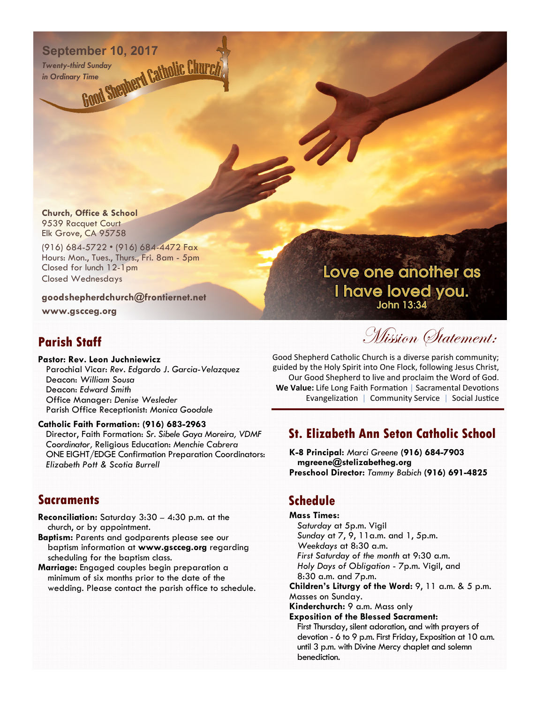# **September 10, 2017**<br> **INSPERIENCE IN THE SURVEY OF STRING CONTROL**<br> **Contract SURVEY CONTROL CONTROL**<br> **Contract SURVEY CONTROL**

*Twenty-third Sunday in Ordinary Time*

**Church, Office & School**  9539 Racquet Court Elk Grove, CA 95758

(916) 684-5722 • (916) 684-4472 Fax Hours: Mon., Tues., Thurs., Fri. 8am - 5pm Closed for lunch 12-1pm Closed Wednesdays

#### **goodshepherdchurch@frontiernet.net**

**www.gscceg.org** 

## **Parish Staff**

**Pastor: Rev. Leon Juchniewicz**  Parochial Vicar: *Rev. Edgardo J. Garcia-Velazquez*  Deacon: *William Sousa*  Deacon: *Edward Smith*  Office Manager: *Denise Wesleder* Parish Office Receptionist: *Monica Goodale* 

#### **Catholic Faith Formation: (916) 683-2963**

Director, Faith Formation: *Sr. Sibele Gaya Moreira, VDMF Coordinator,* Religious Education: *Menchie Cabrera*  ONE EIGHT/EDGE Confirmation Preparation Coordinators: *Elizabeth Pott & Scotia Burrell* 

### **Sacraments**

- **Reconciliation:** Saturday 3:30 4:30 p.m. at the church, or by appointment.
- **Baptism:** Parents and godparents please see our baptism information at **www.gscceg.org** regarding scheduling for the baptism class.
- **Marriage:** Engaged couples begin preparation a minimum of six months prior to the date of the wedding. Please contact the parish office to schedule.

Love one another as I have loved you. **John 13:34** 

Mission Statement:

Good Shepherd Catholic Church is a diverse parish community; guided by the Holy Spirit into One Flock, following Jesus Christ, Our Good Shepherd to live and proclaim the Word of God. **We Value:** Life Long Faith Formation | Sacramental Devotions Evangelization | Community Service | Social Justice

## **St. Elizabeth Ann Seton Catholic School**

**K-8 Principal:** *Marci Greene* **(916) 684-7903 mgreene@stelizabetheg.org Preschool Director:** *Tammy Babich* **(916) 691-4825** 

## **Schedule**

**Mass Times:**  *Saturday* at 5p.m. Vigil *Sunday* at 7, 9, 11a.m. and 1, 5p.m. *Weekdays* at 8:30 a.m. *First Saturday of the month* at 9:30 a.m. *Holy Days of Obligation* - 7p.m. Vigil, and 8:30 a.m. and 7p.m. **Children's Liturgy of the Word:** 9, 11 a.m. & 5 p.m. Masses on Sunday. **Kinderchurch:** 9 a.m. Mass only **Exposition of the Blessed Sacrament:**  First Thursday, silent adoration, and with prayers of devotion - 6 to 9 p.m. First Friday, Exposition at 10 a.m. until 3 p.m. with Divine Mercy chaplet and solemn benediction.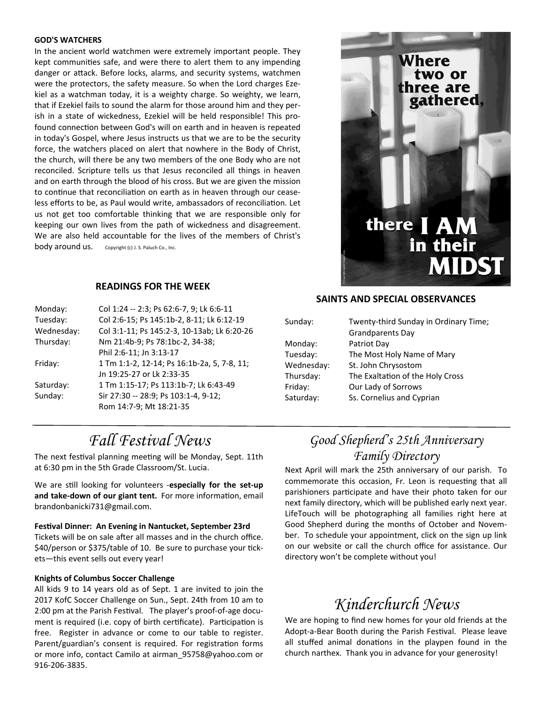#### **GOD'S WATCHERS**

In the ancient world watchmen were extremely important people. They kept communities safe, and were there to alert them to any impending danger or attack. Before locks, alarms, and security systems, watchmen were the protectors, the safety measure. So when the Lord charges Ezekiel as a watchman today, it is a weighty charge. So weighty, we learn, that if Ezekiel fails to sound the alarm for those around him and they perish in a state of wickedness, Ezekiel will be held responsible! This profound connection between God's will on earth and in heaven is repeated in today's Gospel, where Jesus instructs us that we are to be the security force, the watchers placed on alert that nowhere in the Body of Christ, the church, will there be any two members of the one Body who are not reconciled. Scripture tells us that Jesus reconciled all things in heaven and on earth through the blood of his cross. But we are given the mission to continue that reconciliation on earth as in heaven through our ceaseless efforts to be, as Paul would write, ambassadors of reconciliation. Let us not get too comfortable thinking that we are responsible only for keeping our own lives from the path of wickedness and disagreement. We are also held accountable for the lives of the members of Christ's body around us. Copyright (c) J. S. Paluch Co., Inc.

#### **READINGS FOR THE WEEK**

| Monday:    | Col 1:24 -- 2:3; Ps 62:6-7, 9; Lk 6:6-11    |
|------------|---------------------------------------------|
| Tuesday:   | Col 2:6-15; Ps 145:1b-2, 8-11; Lk 6:12-19   |
| Wednesday: | Col 3:1-11; Ps 145:2-3, 10-13ab; Lk 6:20-26 |
| Thursday:  | Nm 21:4b-9; Ps 78:1bc-2, 34-38;             |
|            | Phil 2:6-11; Jn 3:13-17                     |
| Friday:    | 1 Tm 1:1-2, 12-14; Ps 16:1b-2a, 5, 7-8, 11; |
|            | Jn 19:25-27 or Lk 2:33-35                   |
| Saturday:  | 1 Tm 1:15-17; Ps 113:1b-7; Lk 6:43-49       |
| Sunday:    | Sir 27:30 -- 28:9; Ps 103:1-4, 9-12;        |
|            | Rom 14:7-9; Mt 18:21-35                     |

#### **SAINTS AND SPECIAL OBSERVANCES**

**Where** 

there | AM

in their

**MIDST** 

two or hree are gathered,

| Sunday:    | Twenty-third Sunday in Ordinary Time;<br><b>Grandparents Day</b> |
|------------|------------------------------------------------------------------|
| Monday:    | Patriot Day                                                      |
| Tuesday:   | The Most Holy Name of Mary                                       |
| Wednesday: | St. John Chrysostom                                              |
| Thursday:  | The Exaltation of the Holy Cross                                 |
| Friday:    | Our Lady of Sorrows                                              |
| Saturday:  | Ss. Cornelius and Cyprian                                        |

## *Fall Festival News*

The next festival planning meeting will be Monday, Sept. 11th at 6:30 pm in the 5th Grade Classroom/St. Lucia.

We are still looking for volunteers -especially for the set-up and take-down of our giant tent. For more information, email brandonbanicki731@gmail.com.

**FesƟval Dinner: An Evening in Nantucket, September 23rd**  Tickets will be on sale after all masses and in the church office. \$40/person or \$375/table of 10. Be sure to purchase your tickets—this event sells out every year!

#### **Knights of Columbus Soccer Challenge**

All kids 9 to 14 years old as of Sept. 1 are invited to join the 2017 KofC Soccer Challenge on Sun., Sept. 24th from 10 am to 2:00 pm at the Parish Festival. The player's proof-of-age document is required (i.e. copy of birth certificate). Participation is free. Register in advance or come to our table to register. Parent/guardian's consent is required. For registration forms or more info, contact Camilo at airman\_95758@yahoo.com or 916-206-3835.

## *Good Shepherd's 25th Anniversary Family Directory*

Next April will mark the 25th anniversary of our parish. To commemorate this occasion, Fr. Leon is requesting that all parishioners participate and have their photo taken for our next family directory, which will be published early next year. LifeTouch will be photographing all families right here at Good Shepherd during the months of October and November. To schedule your appointment, click on the sign up link on our website or call the church office for assistance. Our directory won't be complete without you!

## *Kinderchurch News*

We are hoping to find new homes for your old friends at the Adopt-a-Bear Booth during the Parish Festival. Please leave all stuffed animal donations in the playpen found in the church narthex. Thank you in advance for your generosity!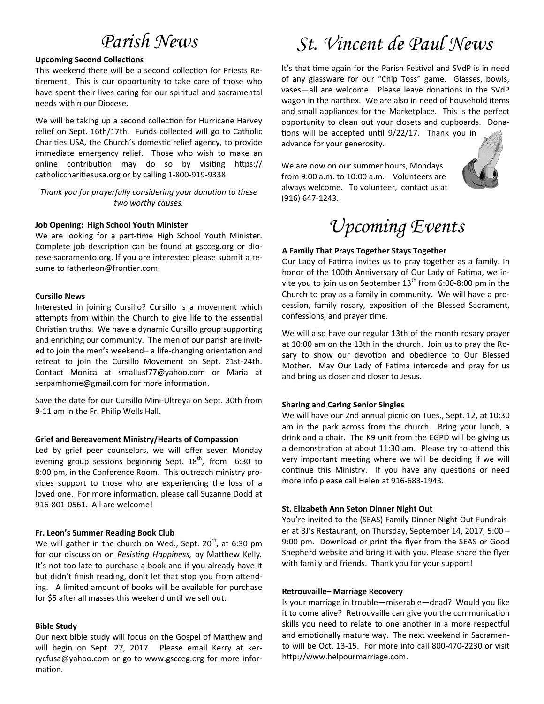#### **Upcoming Second Collections**

This weekend there will be a second collection for Priests Retirement. This is our opportunity to take care of those who have spent their lives caring for our spiritual and sacramental needs within our Diocese.

We will be taking up a second collection for Hurricane Harvey relief on Sept. 16th/17th. Funds collected will go to Catholic Charities USA, the Church's domestic relief agency, to provide immediate emergency relief. Those who wish to make an online contribution may do so by visiting https:// catholiccharitiesusa.org or by calling 1-800-919-9338.

*Thank you for prayerfully considering your donation to these two worthy causes.* 

#### **Job Opening: High School Youth Minister**

We are looking for a part-time High School Youth Minister. Complete job description can be found at gscceg.org or diocese-sacramento.org. If you are interested please submit a resume to fatherleon@frontier.com.

#### **Cursillo News**

Interested in joining Cursillo? Cursillo is a movement which attempts from within the Church to give life to the essential Christian truths. We have a dynamic Cursillo group supporting and enriching our community. The men of our parish are invited to join the men's weekend- a life-changing orientation and retreat to join the Cursillo Movement on Sept. 21st-24th. Contact Monica at smallusf77@yahoo.com or Maria at serpamhome@gmail.com for more information.

Save the date for our Cursillo Mini-Ultreya on Sept. 30th from 9-11 am in the Fr. Philip Wells Hall.

#### **Grief and Bereavement Ministry/Hearts of Compassion**

Led by grief peer counselors, we will offer seven Monday evening group sessions beginning Sept.  $18<sup>th</sup>$ , from 6:30 to 8:00 pm, in the Conference Room. This outreach ministry provides support to those who are experiencing the loss of a loved one. For more information, please call Suzanne Dodd at 916-801-0561. All are welcome!

#### **Fr. Leon's Summer Reading Book Club**

We will gather in the church on Wed., Sept.  $20<sup>th</sup>$ , at 6:30 pm for our discussion on *Resisting Happiness*, by Matthew Kelly. It's not too late to purchase a book and if you already have it but didn't finish reading, don't let that stop you from attending. A limited amount of books will be available for purchase for \$5 after all masses this weekend until we sell out.

#### **Bible Study**

Our next bible study will focus on the Gospel of Matthew and will begin on Sept. 27, 2017. Please email Kerry at kerrycfusa@yahoo.com or go to www.gscceg.org for more information.

# *Parish News St. Vincent de Paul News*

It's that time again for the Parish Festival and SVdP is in need of any glassware for our "Chip Toss" game. Glasses, bowls, vases—all are welcome. Please leave donations in the SVdP wagon in the narthex. We are also in need of household items and small appliances for the Marketplace. This is the perfect opportunity to clean out your closets and cupboards. Donations will be accepted until 9/22/17. Thank you in

advance for your generosity.

We are now on our summer hours, Mondays from 9:00 a.m. to 10:00 a.m. Volunteers are always welcome. To volunteer, contact us at (916) 647-1243.



# *Upcoming Events*

#### **A Family That Prays Together Stays Together**

Our Lady of Fatima invites us to pray together as a family. In honor of the 100th Anniversary of Our Lady of Fatima, we invite you to join us on September  $13<sup>th</sup>$  from 6:00-8:00 pm in the Church to pray as a family in community. We will have a procession, family rosary, exposition of the Blessed Sacrament, confessions, and prayer time.

We will also have our regular 13th of the month rosary prayer at 10:00 am on the 13th in the church. Join us to pray the Rosary to show our devotion and obedience to Our Blessed Mother. May Our Lady of Fatima intercede and pray for us and bring us closer and closer to Jesus.

#### **Sharing and Caring Senior Singles**

We will have our 2nd annual picnic on Tues., Sept. 12, at 10:30 am in the park across from the church. Bring your lunch, a drink and a chair. The K9 unit from the EGPD will be giving us a demonstration at about 11:30 am. Please try to attend this very important meeting where we will be deciding if we will continue this Ministry. If you have any questions or need more info please call Helen at 916-683-1943.

#### **St. Elizabeth Ann Seton Dinner Night Out**

You're invited to the (SEAS) Family Dinner Night Out Fundraiser at BJ's Restaurant, on Thursday, September 14, 2017, 5:00 – 9:00 pm. Download or print the flyer from the SEAS or Good Shepherd website and bring it with you. Please share the flyer with family and friends. Thank you for your support!

#### **Retrouvaille– Marriage Recovery**

Is your marriage in trouble—miserable—dead? Would you like it to come alive? Retrouvaille can give you the communication skills you need to relate to one another in a more respectful and emotionally mature way. The next weekend in Sacramento will be Oct. 13-15. For more info call 800-470-2230 or visit http://www.helpourmarriage.com.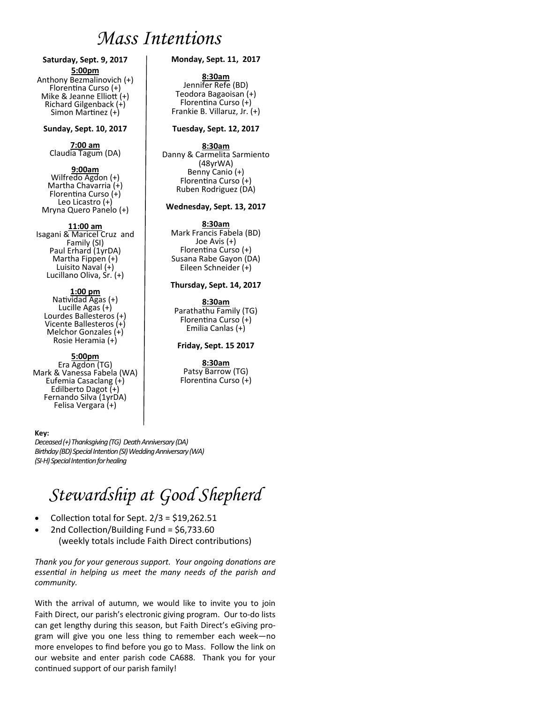## *Mass Intentions*

**Saturday, Sept. 9, 2017 5:00pm**  Anthony Bezmalinovich (+) Florentina Curso (+) Mike & Jeanne Elliott  $(+)$ Richard Gilgenback (+) Simon Martinez (+)

#### **Sunday, Sept. 10, 2017**

**7:00 am**  Claudia Tagum (DA)

#### **9:00am**

Wilfredo Agdon (+) Martha Chavarria (+) Florentina Curso (+) Leo Licastro (+) Mryna Quero Panelo (+)

#### **11:00 am**

Isagani & Maricel Cruz and Family (SI) Paul Erhard (1yrDA) Martha Fippen (+) Luisito Naval (+) Lucillano Oliva, Sr. (+)

#### **1:00 pm**

Natividad Agas  $(+)$ Lucille Agas (+) Lourdes Ballesteros (+) Vicente Ballesteros (+) Melchor Gonzales (+) Rosie Heramia (+)

#### **5:00pm**

Era Agdon (TG) Mark & Vanessa Fabela (WA) Eufemia Casaclang (+) Edilberto Dagot (+) Fernando Silva (1yrDA) Felisa Vergara (+)

#### **Key:**

*Deceased (+) Thanksgiving (TG) Death Anniversary (DA) Birthday (BD) Special Intention (SI) Wedding Anniversary (WA) (SI-H) Special Intention for healing* 

## *Stewardship at Good Shepherd*

- Collection total for Sept.  $2/3 = $19,262.51$
- 2nd Collection/Building Fund = \$6,733.60 (weekly totals include Faith Direct contributions)

*Thank you for your generous support. Your ongoing donations are essenƟal in helping us meet the many needs of the parish and community.* 

With the arrival of autumn, we would like to invite you to join Faith Direct, our parish's electronic giving program. Our to-do lists can get lengthy during this season, but Faith Direct's eGiving program will give you one less thing to remember each week—no more envelopes to find before you go to Mass. Follow the link on our website and enter parish code CA688. Thank you for your continued support of our parish family!

#### **Monday, Sept. 11, 2017**

**8:30am** Jennifer Refe (BD) Teodora Bagaoisan (+) Florentina Curso (+) Frankie B. Villaruz, Jr. (+)

#### **Tuesday, Sept. 12, 2017**

**8:30am**<br>Danny & Carmelita Sarmiento (48yrWA) Benny Canio (+) Florentina Curso (+) Ruben Rodriguez (DA)

#### **Wednesday, Sept. 13, 2017**

**8:30am** Mark Francis Fabela (BD) Joe Avis (+) Florentina Curso (+) Susana Rabe Gayon (DA) Eileen Schneider (+)

#### **Thursday, Sept. 14, 2017**

**8:30am** 

Parathathu Family (TG) FlorenƟna Curso (+) Emilia Canlas (+)

#### **Friday, Sept. 15 2017**

## **8:30am**

Patsy Barrow (TG) Florentina Curso (+)